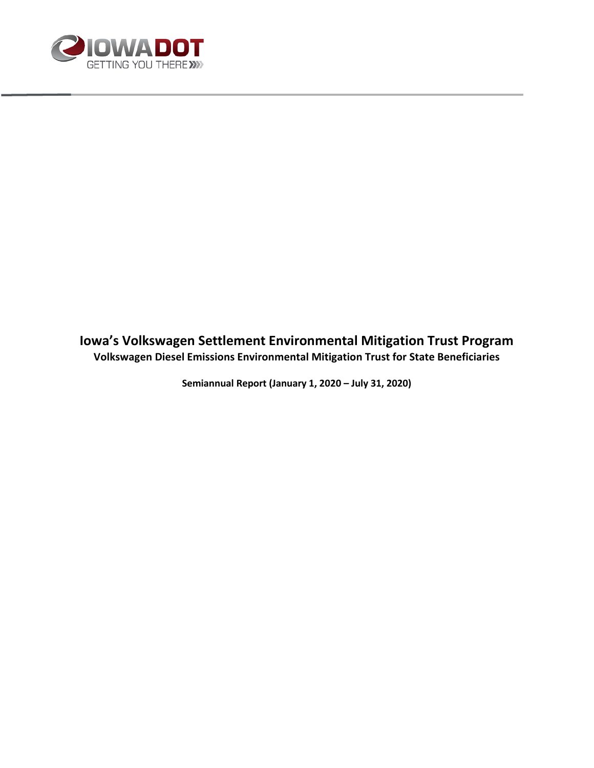

## **Iowa's Volkswagen Settlement Environmental Mitigation Trust Program Volkswagen Diesel Emissions Environmental Mitigation Trust for State Beneficiaries**

**Semiannual Report (January 1, 2020 – July 31, 2020)**